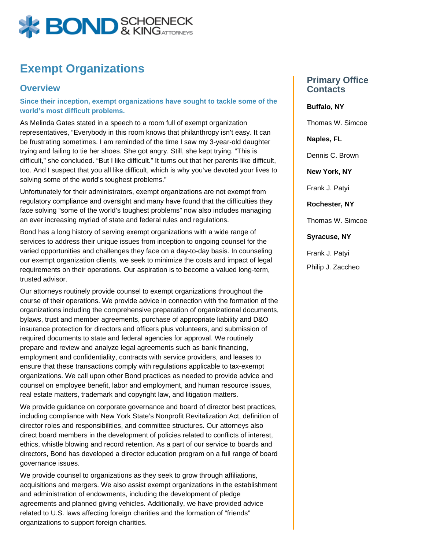

## **Exempt Organizations**

## **Overview**

**Since their inception, exempt organizations have sought to tackle some of the world's most difficult problems.** 

As Melinda Gates stated in a speech to a room full of exempt organization representatives, "Everybody in this room knows that philanthropy isn't easy. It can be frustrating sometimes. I am reminded of the time I saw my 3-year-old daughter trying and failing to tie her shoes. She got angry. Still, she kept trying. "This is difficult," she concluded. "But I like difficult." It turns out that her parents like difficult, too. And I suspect that you all like difficult, which is why you've devoted your lives to solving some of the world's toughest problems."

Unfortunately for their administrators, exempt organizations are not exempt from regulatory compliance and oversight and many have found that the difficulties they face solving "some of the world's toughest problems" now also includes managing an ever increasing myriad of state and federal rules and regulations.

Bond has a long history of serving exempt organizations with a wide range of services to address their unique issues from inception to ongoing counsel for the varied opportunities and challenges they face on a day-to-day basis. In counseling our exempt organization clients, we seek to minimize the costs and impact of legal requirements on their operations. Our aspiration is to become a valued long-term, trusted advisor.

Our attorneys routinely provide counsel to exempt organizations throughout the course of their operations. We provide advice in connection with the formation of the organizations including the comprehensive preparation of organizational documents, bylaws, trust and member agreements, purchase of appropriate liability and D&O insurance protection for directors and officers plus volunteers, and submission of required documents to state and federal agencies for approval. We routinely prepare and review and analyze legal agreements such as bank financing, employment and confidentiality, contracts with service providers, and leases to ensure that these transactions comply with regulations applicable to tax-exempt organizations. We call upon other Bond practices as needed to provide advice and counsel on employee benefit, labor and employment, and human resource issues, real estate matters, trademark and copyright law, and litigation matters.

We provide guidance on corporate governance and board of director best practices, including compliance with New York State's Nonprofit Revitalization Act, definition of director roles and responsibilities, and committee structures. Our attorneys also direct board members in the development of policies related to conflicts of interest, ethics, whistle blowing and record retention. As a part of our service to boards and directors, Bond has developed a director education program on a full range of board governance issues.

We provide counsel to organizations as they seek to grow through affiliations, acquisitions and mergers. We also assist exempt organizations in the establishment and administration of endowments, including the development of pledge agreements and planned giving vehicles. Additionally, we have provided advice related to U.S. laws affecting foreign charities and the formation of "friends" organizations to support foreign charities.

## **Primary Office Contacts**

**Buffalo, NY** Thomas W. Simcoe **Naples, FL** Dennis C. Brown **New York, NY**

Frank J. Patyi

**Rochester, NY**

Thomas W. Simcoe

**Syracuse, NY**

Frank J. Patyi Philip J. Zaccheo